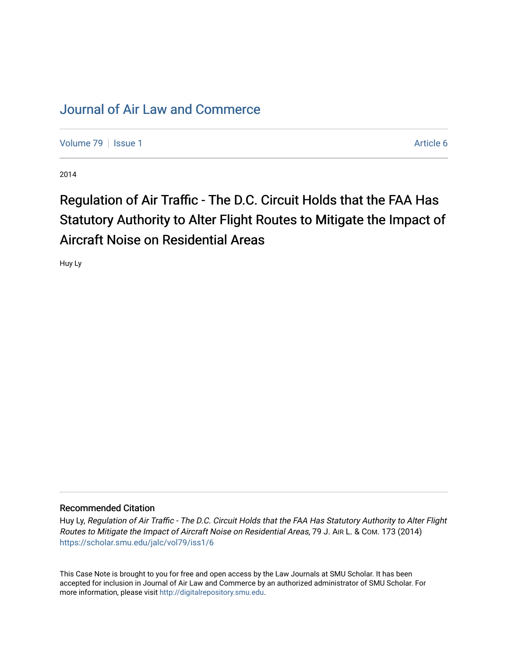## [Journal of Air Law and Commerce](https://scholar.smu.edu/jalc)

[Volume 79](https://scholar.smu.edu/jalc/vol79) | [Issue 1](https://scholar.smu.edu/jalc/vol79/iss1) Article 6

2014

## Regulation of Air Traffic - The D.C. Circuit Holds that the FAA Has Statutory Authority to Alter Flight Routes to Mitigate the Impact of Aircraft Noise on Residential Areas

Huy Ly

## Recommended Citation

Huy Ly, Regulation of Air Traffic - The D.C. Circuit Holds that the FAA Has Statutory Authority to Alter Flight Routes to Mitigate the Impact of Aircraft Noise on Residential Areas, 79 J. AIR L. & COM. 173 (2014) [https://scholar.smu.edu/jalc/vol79/iss1/6](https://scholar.smu.edu/jalc/vol79/iss1/6?utm_source=scholar.smu.edu%2Fjalc%2Fvol79%2Fiss1%2F6&utm_medium=PDF&utm_campaign=PDFCoverPages) 

This Case Note is brought to you for free and open access by the Law Journals at SMU Scholar. It has been accepted for inclusion in Journal of Air Law and Commerce by an authorized administrator of SMU Scholar. For more information, please visit [http://digitalrepository.smu.edu](http://digitalrepository.smu.edu/).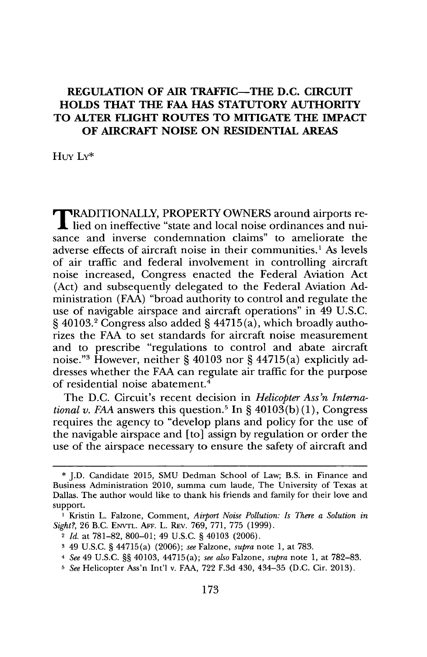## **REGULATION OF AIR TRAFFIC-THE D.C. CIRCUIT HOLDS THAT THE FAA HAS STATUTORY AUTHORITY TO ALTER FLIGHT ROUTES TO MITIGATE THE IMPACT OF AIRCRAFT NOISE ON RESIDENTIAL AREAS**

 $H<sub>IV</sub> I<sub>Y</sub>*$ 

TRADITIONALLY, PROPERTY OWNERS around airports re-lied on ineffective "state and local noise ordinances and nuisance and inverse condemnation claims" to ameliorate the adverse effects of aircraft noise in their communities.' **As** levels of air traffic and federal involvement in controlling aircraft noise increased, Congress enacted the Federal Aviation Act (Act) and subsequently delegated to the Federal Aviation **Ad**ministration **(FAA)** "broad authority to control and regulate the use of navigable airspace and aircraft operations" in 49 **U.S.C. §** 40103.2 Congress also added **§** 44715(a), which broadly authorizes the **FAA** to set standards for aircraft noise measurement and to prescribe "regulations to control and abate aircraft noise. **"3** However, neither **§** 40103 nor **§** 44715(a) explicitly addresses whether the **FAA** can regulate air traffic for the purpose of residential noise abatement.<sup>4</sup>

The **D.C.** Circuit's recent decision in *Helicopter Ass'n International v. FAA* answers this question.<sup>5</sup> In §  $40103(b)(1)$ , Congress requires the agency to "develop plans and policy for the use of the navigable airspace and [to] assign **by** regulation or order the use of the airspace necessary to ensure the safety of aircraft and

**<sup>\*</sup> J.D.** Candidate **2015, SMU** Dedman School of Law; B.S. in Finance and Business Administration 2010, summa cum laude, The University of Texas at Dallas. The author would like to thank his friends and family for their love and support.

**I** Kristin L. Falzone, Comment, *Airport Noise Pollution: Is There a Solution in Sight?,* **26** B.C. **ENVTL. AFF.** L. REv. **769, 771, 775 (1999).**

<sup>2</sup> *Id.* at **781-82, 800-01;** 49 **U.S.C. §** 40103 **(2006).**

**<sup>3</sup>**49 **U.S.C. §** 44715 (a) **(2006);** *see* Falzone, *supra* note **1,** at **783.**

*<sup>4</sup> See* 49 **U.S.C. §§** 40103, 44715(a); *see also* Falzone, *supra* note **1,** at **782-83.**

*<sup>5</sup> See* Helicopter Ass'n Int'l v. **FAA, 722 F.3d** 430, 434-35 **(D.C.** Cir. **2013).**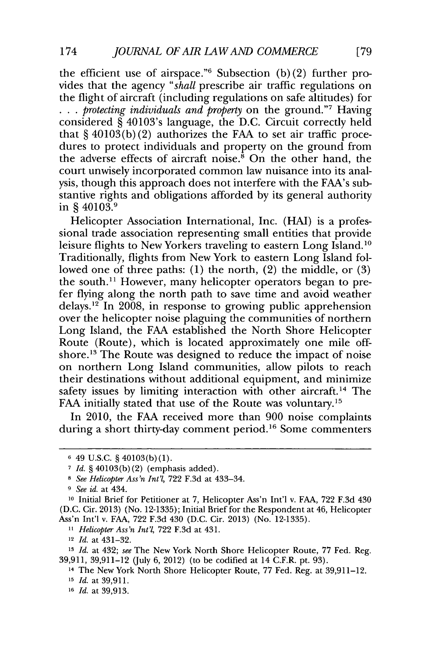the efficient use of airspace."6 Subsection **(b)** (2) further provides that the agency *"shall* prescribe air traffic regulations on the flight of aircraft (including regulations on safe altitudes) for **. . .** *protecting individuals and property* on the ground."7 Having considered **§** 40103's language, the **D.C.** Circuit correctly held that **§** 40103(b) (2) authorizes the **FAA** to set air traffic procedures to protect individuals and property on the ground from the adverse effects of aircraft noise.<sup>8</sup> On the other hand, the court unwisely incorporated common law nuisance into its analysis, though this approach does not interfere with the FAA's substantive rights and obligations afforded **by** its general authority in **§** 40103.9

Helicopter Association International, Inc. **(HAI)** is a professional trade association representing small entities that provide leisure flights to New Yorkers traveling to eastern Long Island.'0 Traditionally, flights from New York to eastern Long Island followed one of three paths: **(1)** the north, (2) the middle, or **(3)** the south.<sup>11</sup> However, many helicopter operators began to prefer flying along the north path to save time and avoid weather delays." In **2008,** in response to growing public apprehension over the helicopter noise plaguing the communities of northern Long Island, the **FAA** established the North Shore Helicopter Route (Route), which is located approximately one mile offshore.<sup>13</sup> The Route was designed to reduce the impact of noise on northern Long Island communities, allow pilots to reach their destinations without additional equipment, and minimize safety issues by limiting interaction with other aircraft.<sup>14</sup> The FAA initially stated that use of the Route was voluntary.<sup>15</sup>

In 2010, the **FAA** received more than **900** noise complaints during a short thirty-day comment period.<sup>16</sup> Some commenters

**<sup>6</sup>** 49 **U.S.C. §** 40103(b) **(1).**

**<sup>7</sup>***Id.* **§** 40103(b) (2) (emphasis added).

*<sup>8</sup> See Helicopter Ass'n Int'l,* **722 F.3d** at 433-34.

*<sup>9</sup> See id.* at 434.

**<sup>10</sup>**Initial Brief for Petitioner at **7,** Helicopter Ass'n Int'l v. **FAA, 722 F.3d** 430 **(D.C.** Cir. **2013)** (No. **12-1335);** Initial Brief for the Respondent at 46, Helicopter Ass'n Int'l v. **FAA, 722 F.3d** 430 **(D.C.** Cir. **2013)** (No. **12-1335).**

*<sup>11</sup> Helicopter Ass'n Int'l,* **722 F.3d** at **431.**

**<sup>12</sup>***Id.* at 431-32.

**<sup>13</sup>***Id.* at 432; *see* The New York North Shore Helicopter Route, **77** Fed. Reg. **39,911, 39,911-12** (July **6,** 2012) (to be codified at 14 C.F.R. pt. **93).**

**<sup>14</sup>**The New York North Shore Helicopter Route, **77** Fed. Reg. at **39,911-12. <sup>15</sup>***Id.* at **39,911.**

**<sup>16</sup>***Id.* at **39,913.**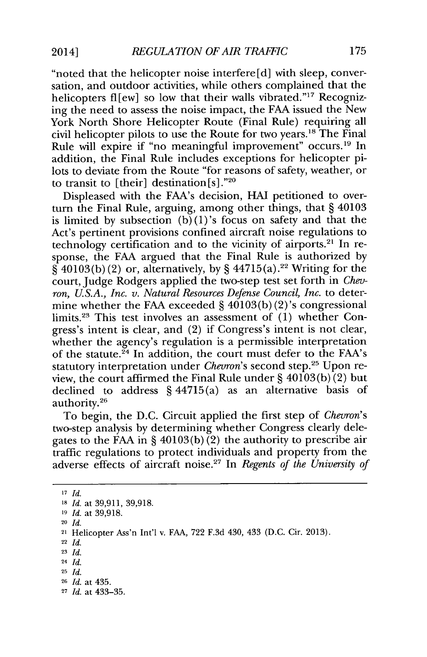"noted that the helicopter noise interfere **[d]** with sleep, conversation, and outdoor activities, while others complained that the helicopters flew] so low that their walls vibrated."<sup>17</sup> Recognizing the need to assess the noise impact, the **FAA** issued the New York North Shore Helicopter Route (Final Rule) requiring all civil helicopter pilots to use the Route for two years." The Final Rule will expire if "no meaningful improvement" occurs.<sup>19</sup> In addition, the Final Rule includes exceptions for helicopter pilots to deviate from the Route "for reasons of safety, weather, or to transit to [their] destination [s]."2o

Displeased with the FAA's decision, **HAI** petitioned to overturn the Final Rule, arguing, among other things, that **§** 40103 is limited by subsection  $(b)(1)$ 's focus on safety and that the Act's pertinent provisions confined aircraft noise regulations to technology certification and to the vicinity of airports.<sup>21</sup> In response, the **FAA** argued that the Final Rule is authorized **by §** 40103(b) (2) or, alternatively, **by §** 44715(a).2 2 Writing for the court, Judge Rodgers applied the two-step test set forth in *Chevron, U.S.A., Inc. v. Natural Resources Defense Council, Inc.* to determine whether the **FAA** exceeded **§** 40103(b) (2)'s congressional limits.23 This test involves an assessment of **(1)** whether Congress's intent is clear, and (2) if Congress's intent is not clear, whether the agency's regulation is a permissible interpretation of the statute. $^{24}$  In addition, the court must defer to the FAA's statutory interpretation under *Chevron's* second step.25 Upon review, the court affirmed the Final Rule under **§** 40103(b) (2) but declined to address **§** 44715(a) as an alternative basis of authority.<sup>26</sup>

To begin, the **D.C.** Circuit applied the first step of *Chevron's* two-step analysis **by** determining whether Congress clearly delegates to the **FAA** in **§** 40103(b) (2) the authority to prescribe air traffic regulations to protect individuals and property from the adverse effects of aircraft noise. *In Regents of the University of*

**<sup>17</sup>***Id.*

**<sup>18</sup>***Id.* at **39,911, 39,918.**

<sup>20</sup>*Id.*

<sup>22</sup>*Id.*

**<sup>23</sup>***Id.*

**<sup>19</sup>***Id.* at **39,918.**

<sup>21</sup>Helicopter Ass'n Int'l v. **FAA, 722 F.3d** 430, 433 **(D.C.** Cir. **2013).**

<sup>24</sup>*Id.*

**<sup>25</sup>***Id.*

**<sup>26</sup>***Id.* at 435.

**<sup>27</sup>** *Id.* at **433-35.**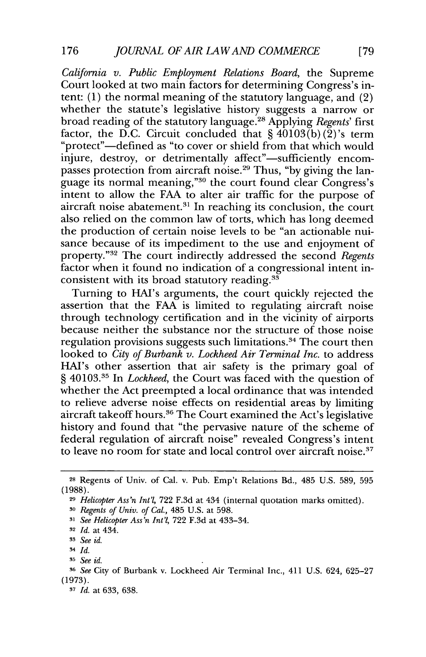*California v. Public Employment Relations Board,* the Supreme Court looked at two main factors for determining Congress's intent: **(1)** the normal meaning of the statutory language, and (2) whether the statute's legislative history suggests a narrow or broad reading of the statutory language. 2 Applying *Regents' first* factor, the D.C. Circuit concluded that  $\hat{\mathbf{S}}$  40103(b)(2)'s term "protect"—defined as "to cover or shield from that which would injure, destroy, or detrimentally affect"-sufficiently encompasses protection from aircraft noise.<sup>29</sup> Thus, "by giving the language its normal meaning,"<sup>30</sup> the court found clear Congress's intent to allow the **FAA** to alter air traffic for the purpose of aircraft noise abatement.<sup>31</sup> In reaching its conclusion, the court also relied on the common law of torts, which has long deemed the production of certain noise levels to be "an actionable nuisance because of its impediment to the use and enjoyment of property."<sup>32</sup> The court indirectly addressed the second *Regents* factor when it found no indication of a congressional intent inconsistent with its broad statutory reading.<sup>33</sup>

Turning to HAI's arguments, the court quickly rejected the assertion that the **FAA** is limited to regulating aircraft noise through technology certification and in the vicinity of airports because neither the substance nor the structure of those noise regulation provisions suggests such limitations.<sup>34</sup> The court then looked to *City of Burbank v. Lockheed Air Terminal Inc.* to address HAI's other assertion that air safety is the primary goal of § 40103.<sup>35</sup> In *Lockheed*, the Court was faced with the question of whether the Act preempted a local ordinance that was intended to relieve adverse noise effects on residential areas **by** limiting aircraft takeoff hours.<sup>36</sup> The Court examined the Act's legislative history and found that "the pervasive nature of the scheme of federal regulation of aircraft noise" revealed Congress's intent to leave no room for state and local control over aircraft noise.<sup>37</sup>

**<sup>28</sup>**Regents of Univ. of Cal. v. Pub. Emp't Relations Bd., 485 **U.S. 589, 595 (1988).**

**<sup>29</sup>***Helicopter Ass'n Int'l,* **722 F.3d** at 434 (internal quotation marks omitted).

**<sup>30</sup>***Regents of Univ. of Cal.,* 485 **U.S.** at **598.**

**<sup>31</sup>***See Helicopter Ass'n Int'l,* **722 F.3d** at 433-34.

**<sup>32</sup>***Id.* at 434.

**<sup>3</sup>** *See id.*

<sup>34</sup> *Id.* 

**<sup>35</sup>***See id.*

**<sup>36</sup>***See* City of Burbank v. Lockheed Air Terminal Inc., 411 **U.S.** 624, **625-27 (1973).**

**<sup>3</sup>***Id.* at **633, 638.**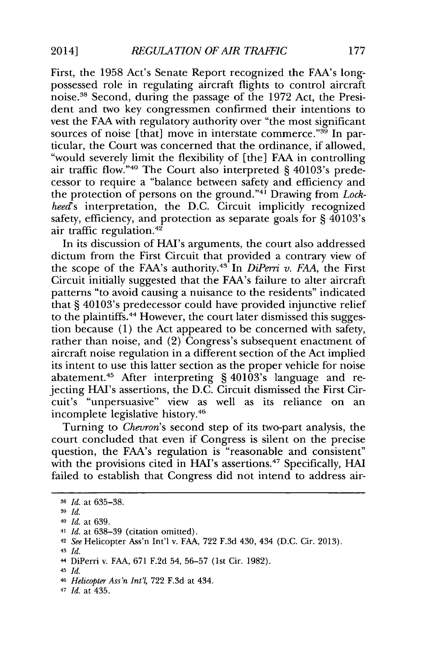First, the **1958** Act's Senate Report recognized the FAA's longpossessed role in regulating aircraft flights to control aircraft noise." Second, during the passage of the **1972** Act, the President and two key congressmen confirmed their intentions to vest the **FAA** with regulatory authority over "the most significant sources of noise [that] move in interstate commerce."<sup>39</sup> In particular, the Court was concerned that the ordinance, if allowed, "would severely limit the flexibility of [the] **FAA** in controlling air traffic flow."40 The Court also interpreted **§** 40103's predecessor to require a "balance between safety and efficiency and the protection of persons on the ground."<sup>41</sup> Drawing from *Lockheed's* interpretation, the **D.C.** Circuit implicitly recognized safety, efficiency, and protection as separate goals for **§** 40103's air traffic regulation.<sup>42</sup>

In its discussion of HAI's arguments, the court also addressed dictum from the First Circuit that provided a contrary view of the scope of the FAA's authority.<sup>43</sup> In *DiPerri v. FAA*, the First Circuit initially suggested that the FAA's failure to alter aircraft patterns "to avoid causing a nuisance to the residents" indicated that **§** 40103's predecessor could have provided injunctive relief to the plaintiffs.<sup>44</sup> However, the court later dismissed this suggestion because **(1)** the Act appeared to be concerned with safety, rather than noise, and (2) Congress's subsequent enactment of aircraft noise regulation in a different section of the Act implied its intent to use this latter section as the proper vehicle for noise abatement. 5 After interpreting **§** 40103's language and rejecting HAI's assertions, the **D.C.** Circuit dismissed the First Circuit's "unpersuasive" view as well as its reliance on an incomplete legislative history.<sup>46</sup>

Turning to *Chevron's* second step of its two-part analysis, the court concluded that even if Congress is silent on the precise question, the FAA's regulation is "reasonable and consistent" with the provisions cited in HAI's assertions.<sup>47</sup> Specifically, HAI failed to establish that Congress did not intend to address air-

- **3** *Id.*
- **<sup>40</sup>***Id. at* **639.**
- **<sup>41</sup>***Id. at* **638-39** (citation omitted).
- **<sup>42</sup>***See* Helicopter Ass'n Int'l v. **FAA, 722 F.3d** 430, 434 **(D.C.** Cir. **2013).**
- 43  $Id.$
- 4 DiPerri v. **FAA, 671 F.2d** 54, **56-57** (1st Cir. **1982).**
- <sup>45</sup>*Id.*

47 *Id.* at 435.

**<sup>38</sup>***Id. at* **635-38.**

**<sup>46</sup>***Helicopter Ass'n Int'l,* **722 F.3d** at 434.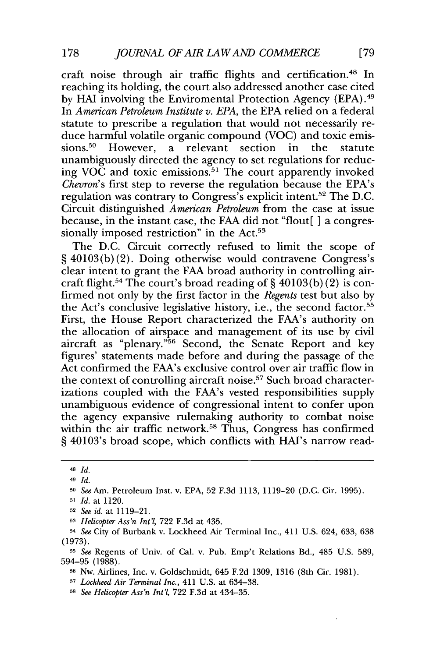craft noise through air traffic flights and certification.<sup>48</sup> In reaching its holding, the court also addressed another case cited **by HAI** involving the Enviromental Protection Agency **(EPA).4** In *American Petroleum Institute v. EPA,* the **EPA** relied on a federal statute to prescribe a regulation that would not necessarily reduce harmful volatile organic compound **(VOC)** and toxic emissions.<sup>50</sup> However, a relevant section in the statute unambiguously directed the agency to set regulations for reducing VOC and toxic emissions.<sup>51</sup> The court apparently invoked *Chevron's* first step to reverse the regulation because the EPA's regulation was contrary to Congress's explicit intent.52 The **D.C.** Circuit distinguished *American Petroleum* from the case at issue because, in the instant case, the **FAA** did not "flout[ **]** a congressionally imposed restriction" in the Act.<sup>53</sup>

The **D.C.** Circuit correctly refused to limit the scope of **§** 40103(b) (2). Doing otherwise would contravene Congress's clear intent to grant the **FAA** broad authority in controlling aircraft flight.<sup>54</sup> The court's broad reading of  $\S$  40103(b)(2) is confirmed not only **by** the first factor in the *Regents* test but also **by** the Act's conclusive legislative history, i.e., the second factor.<sup>55</sup> First, the House Report characterized the FAA's authority on the allocation of airspace and management of its use **by** civil aircraft as "plenary. **"56** Second, the Senate Report and key figures' statements made before and during the passage of the Act confirmed the FAA's exclusive control over air traffic flow in the context of controlling aircraft noise.<sup>57</sup> Such broad characterizations coupled with the FAA's vested responsibilities supply unambiguous evidence of congressional intent to confer upon the agency expansive rulemaking authority to combat noise within the air traffic network.<sup>58</sup> Thus, Congress has confirmed **§** 40103's broad scope, which conflicts with HAI's narrow read-

<sup>48</sup>*Id.*

<sup>49</sup>*Id.*

**<sup>50</sup>***See* Am. Petroleum Inst. v. **EPA, 52 F.3d 1113, 1119-20 (D.C.** Cir. **1995).**

**<sup>51</sup>***Id. at* 1120.

**<sup>52</sup>***See id.* at **1119-21.**

**<sup>5</sup>***Helicopter Ass'n Int'l,* **722 F.3d** at 435.

<sup>54</sup>*See* City of Burbank v. Lockheed Air Terminal Inc., 411 **U.S.** 624, **633, 638 (1973).**

*<sup>55</sup>See* Regents of Univ. of Cal. v. Pub. Emp't Relations Bd., 485 **U.S. 589, 594-95 (1988).**

**<sup>5</sup>r** Nw. Airlines, Inc. **v.** Goldschmidt, 645 **F.2d 1309, 1316** (8th Cir. **1981).**

*<sup>57</sup>Lockheed Air Terminal Inc.,* 411 **U.S.** at **634-38.**

**<sup>58</sup>***See Helicopter Ass'n Int'l,* **722 F.3d** at 434-35.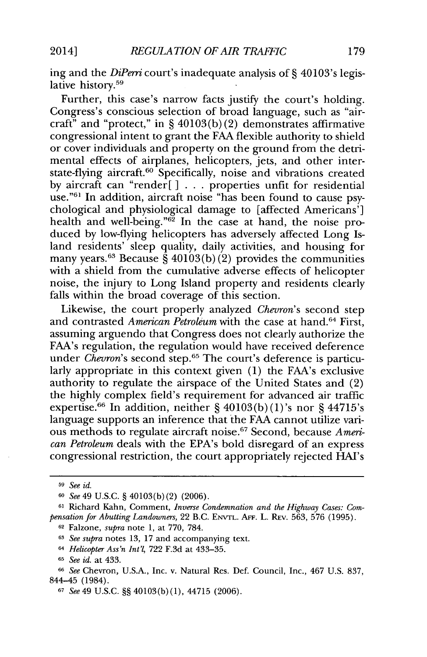ing and the *DiPerri* court's inadequate analysis of **§** 40103's legislative history.<sup>59</sup>

Further, this case's narrow facts justify the court's holding. Congress's conscious selection of broad language, such as "aircraft" and "protect," in **§** 40103(b) (2) demonstrates affirmative congressional intent to grant the **FAA** flexible authority to shield or cover individuals and property on the ground from the detrimental effects of airplanes, helicopters, jets, and other interstate-flying aircraft.<sup>60</sup> Specifically, noise and vibrations created **by** aircraft can "render[ **] . . .** properties unfit for residential use."61 In addition, aircraft noise "has been found to cause psychological and physiological damage to [affected Americans'] health and well-being." $6\frac{3}{2}$  In the case at hand, the noise produced **by** low-flying helicopters has adversely affected Long Island residents' sleep quality, daily activities, and housing for many years.<sup>63</sup> Because  $\hat{\S}$  40103(b)(2) provides the communities with a shield from the cumulative adverse effects of helicopter noise, the injury to Long Island property and residents clearly falls within the broad coverage of this section.

Likewise, the court properly analyzed *Chevron's* second step and contrasted *American Petroleum* with the case at hand.<sup>64</sup> First, assuming arguendo that Congress does not clearly authorize the FAA's regulation, the regulation would have received deference under *Chevron's* second step.<sup>65</sup> The court's deference is particularly appropriate in this context given **(1)** the FAA's exclusive authority to regulate the airspace of the United States and (2) the **highly** complex field's requirement for advanced air traffic expertise.6 6 In addition, neither **§** 40103(b) (1)'s nor **§** 44715's language supports an inference that the **FAA** cannot utilize various methods to regulate aircraft noise. 7 Second, because *American Petroleum* deals with the EPA's bold disregard of an express congressional restriction, the court appropriately rejected HAI's

**<sup>59</sup>***See id.*

**<sup>60</sup>***See 49* **U.S.C. §** 40103(b) (2) **(2006).**

**<sup>61</sup>** Richard Kahn, Comment, *Inverse Condemnation and the Highway Cases: Compensation for Abutting Landowners,* 22 B.C. **ENVTL. AFF.** L. REv. **563, 576 (1995). <sup>62</sup>**Falzone, *supra* note **1,** at **770, 784.**

**<sup>63</sup>***See supra* notes **13, 17** and accompanying text.

**<sup>64</sup>***Helicopter Ass'n Int'l,* **722 F.3d** at **433-35.**

**<sup>65</sup>***See id. at* 433.

**<sup>66</sup>***See* Chevron, **U.S.A.,** Inc. v. Natural Res. Def. Council, Inc., 467 **U.S. 837,** 844-45 (1984).

**<sup>67</sup>***See 49* **U.S.C. §§** 40103(b) **(1),** 44715 **(2006).**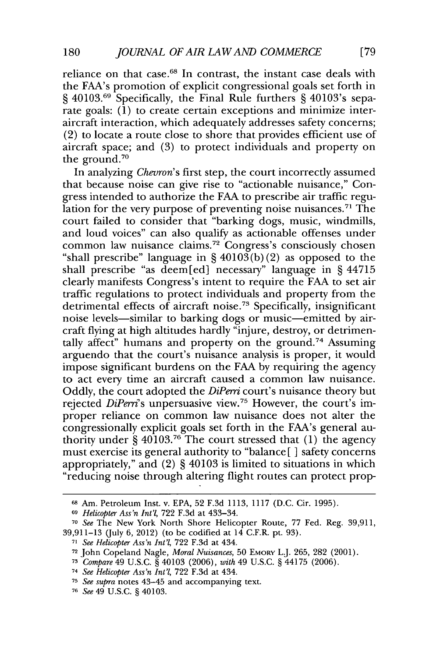reliance on that case.<sup>68</sup> In contrast, the instant case deals with the FAA's promotion of explicit congressional goals set forth in **§** 40103.69 Specifically, the Final Rule furthers **§** 40103's separate goals: **(1)** to create certain exceptions and minimize interaircraft interaction, which adequately addresses safety concerns; (2) to locate a route close to shore that provides efficient use of aircraft space; and **(3)** to protect individuals and property on the ground. $70$ 

In analyzing *Chevron's* first step, the court incorrectly assumed that because noise can give rise to "actionable nuisance," Congress intended to authorize the **FAA** to prescribe air traffic regulation for the very purpose of preventing noise nuisances.<sup>71</sup> The court failed to consider that "barking dogs, music, windmills, and loud voices" can also qualify as actionable offenses under common law nuisance claims.<sup>72</sup> Congress's consciously chosen "shall prescribe" language in **§** 40103(b) (2) as opposed to the shall prescribe "as deem [ed] necessary" language in **§** 44715 clearly manifests Congress's intent to require the **FAA** to set air traffic regulations to protect individuals and property from the detrimental effects of aircraft noise.<sup>78</sup> Specifically, insignificant noise levels-similar to barking dogs or music-emitted **by** aircraft flying at high altitudes hardly "injure, destroy, or detrimentally affect" humans and property on the ground.<sup>74</sup> Assuming arguendo that the court's nuisance analysis is proper, it would impose significant burdens on the **FAA by** requiring the agency to act every time an aircraft caused a common law nuisance. **Oddly,** the court adopted the *DiPerri* court's nuisance theory but rejected *DiPerri's* unpersuasive **view. <sup>75</sup>**However, the court's improper reliance on common law nuisance does not alter the congressionally explicit goals set forth in the FAA's general authority under **§** 40103.76 The court stressed that **(1)** the agency must exercise its general authority to "balance [ **]** safety concerns appropriately," and (2) **§** 40103 is limited to situations in which "reducing noise through altering flight routes can protect prop-

<sup>68</sup>Am. Petroleum Inst. v. **EPA, 52 F.3d 1113, 1117 (D.C.** Cir. **1995).**

**<sup>69</sup>***Helicopter Ass'n Int'l,* **722 F.3d** at 433-34.

**<sup>70</sup>***See* The New York North Shore Helicopter Route, **77** Fed. Reg. **39,911, 39,911-13** (July **6,** 2012) (to be codified at 14 C.F.R. pt. **93).**

**<sup>71</sup>***See Helicopter Ass'n Int'l,* **722 F.3d** at 434.

**<sup>72</sup>**John Copeland Nagle, *Moral Nuisances,* **50 EMORY** L.J. **265, 282** (2001).

**<sup>73</sup>***Compare* 49 **U.S.C.** *§* 40103 **(2006),** *with* 49 **U.S.C.** *§* 44175 **(2006).**

<sup>74</sup>*See Helicopter Ass'n Int'l,* **722 F.3d** at 434.

**<sup>75</sup>***See supra* notes 43-45 and accompanying text.

**<sup>76</sup>***See 49* **U.S.C.** *§* 40103.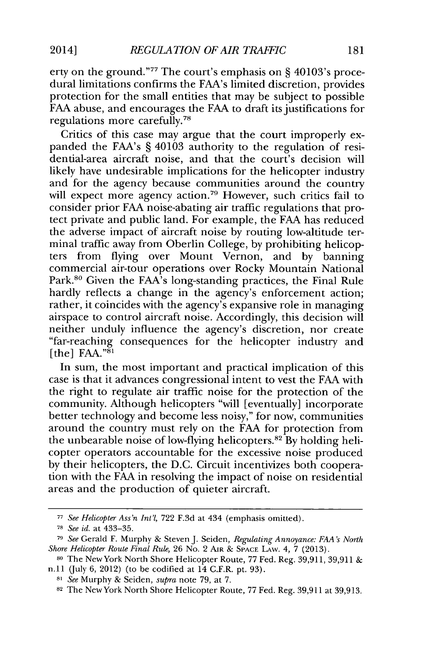erty on the ground."7 7 The court's emphasis on **§** 40103's procedural limitations confirms the FAA's limited discretion, provides protection for the small entities that may be subject to possible **FAA** abuse, and encourages the **FAA** to draft its justifications for regulations more carefully.78

Critics of this case may argue that the court improperly expanded the FAA's **§** 40103 authority to the regulation of residential-area aircraft noise, and that the court's decision will likely have undesirable implications for the helicopter industry and for the agency because communities around the country will expect more agency action.<sup>79</sup> However, such critics fail to consider prior **FAA** noise-abating air traffic regulations that protect private and public land. For example, the **FAA** has reduced the adverse impact of aircraft noise **by** routing low-altitude terminal traffic away from Oberlin College, **by** prohibiting helicopters from flying over Mount Vernon, and **by** banning commercial air-tour operations over Rocky Mountain National Park.<sup>80</sup> Given the FAA's long-standing practices, the Final Rule hardly reflects a change in the agency's enforcement action; rather, it coincides with the agency's expansive role in managing airspace to control aircraft noise. Accordingly, this decision will neither unduly influence the agency's discretion, nor create "far-reaching consequences for the helicopter industry and  $[the] \text{FAA."}^{\text{S1}}$ 

In sum, the most important and practical implication of this case is that it advances congressional intent to vest the **FAA** with the right to regulate air traffic noise for the protection of the community. Although helicopters "will [eventually] incorporate better technology and become less noisy," for now, communities around the country must rely on the **FAA** for protection from the unbearable noise of low-flying helicopters.<sup>82</sup> By holding helicopter operators accountable for the excessive noise produced **by** their helicopters, the **D.C.** Circuit incentivizes both cooperation with the **FAA** in resolving the impact of noise on residential areas and the production of quieter aircraft.

**<sup>77</sup>***See Helicopter Ass'n Int'l,* **722 F.3d** at 434 (emphasis omitted).

**<sup>78</sup>***See id. at* **433-35.**

**<sup>79</sup>***See* Gerald F. Murphy **&** Steven **J.** Seiden, *Regulating Annoyance: FA's North Shore Helicopter Route Final Rule,* **26** No. 2 **AIR** *&* **SPACE** LAw. 4, **7 (2013).**

**<sup>80</sup>**The New York North Shore Helicopter Route, *77* Fed. Reg. **39,911, 39,911 &** n.I1 (July **6,** 2012) (to be codified at 14 C.F.R. pt. **93).**

**<sup>81</sup>***See* Murphy **&** Seiden, *supra* note **79,** at **7.**

**<sup>82</sup>**The New York North Shore Helicopter Route, **77** Fed. Reg. **39,911** at **39,913.**